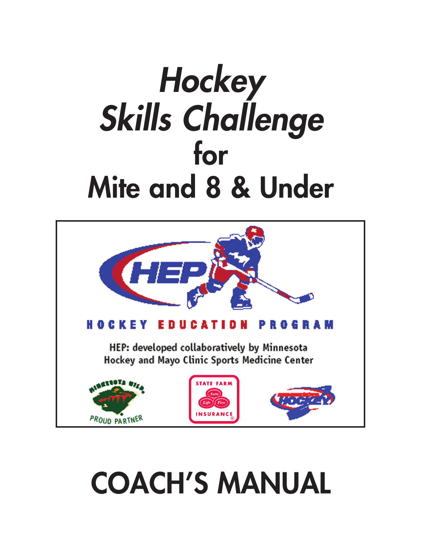# *Hockey Skills Challenge* **for Mite and 8 & Under**



# **COACH'S MANUAL**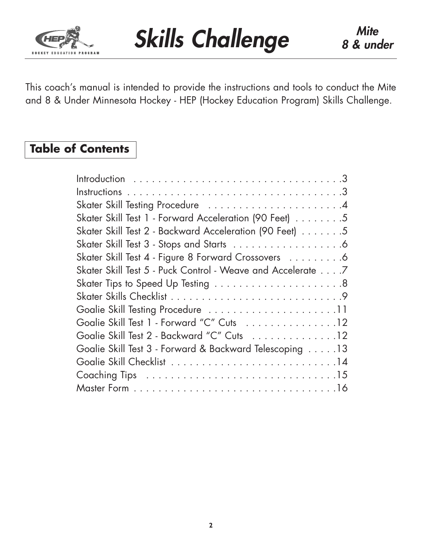

This coach's manual is intended to provide the instructions and tools to conduct the Mite and 8 & Under Minnesota Hockey - HEP (Hockey Education Program) Skills Challenge.

# **Table of Contents**

| Skater Skill Test 1 - Forward Acceleration (90 Feet) 5      |
|-------------------------------------------------------------|
| Skater Skill Test 2 - Backward Acceleration (90 Feet) 5     |
|                                                             |
| Skater Skill Test 4 - Figure 8 Forward Crossovers 6         |
| Skater Skill Test 5 - Puck Control - Weave and Accelerate 7 |
|                                                             |
|                                                             |
|                                                             |
| Goalie Skill Test 1 - Forward "C" Cuts 12                   |
| Goalie Skill Test 2 - Backward "C" Cuts 12                  |
| Goalie Skill Test 3 - Forward & Backward Telescoping 13     |
|                                                             |
|                                                             |
|                                                             |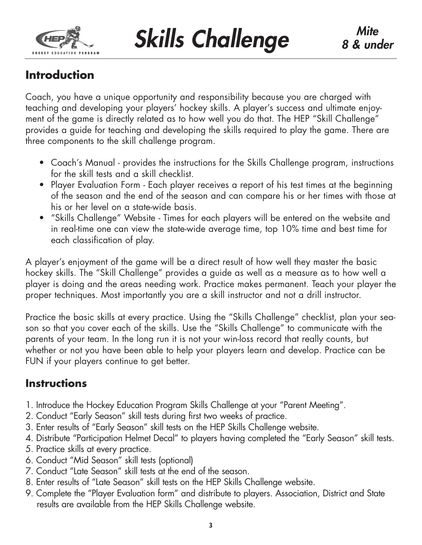

**Skills Challenge** 8 & une

# **Introduction**

Coach, you have a unique opportunity and responsibility because you are charged with teaching and developing your players' hockey skills. A player's success and ultimate enjoyment of the game is directly related as to how well you do that. The HEP "Skill Challenge" provides a guide for teaching and developing the skills required to play the game. There are three components to the skill challenge program.

- Coach's Manual provides the instructions for the Skills Challenge program, instructions for the skill tests and a skill checklist.
- Player Evaluation Form Each player receives a report of his test times at the beginning of the season and the end of the season and can compare his or her times with those at his or her level on a state-wide basis.
- "Skills Challenge" Website Times for each players will be entered on the website and in real-time one can view the state-wide average time, top 10% time and best time for each classification of play.

A player's enjoyment of the game will be a direct result of how well they master the basic hockey skills. The "Skill Challenge" provides a guide as well as a measure as to how well a player is doing and the areas needing work. Practice makes permanent. Teach your player the proper techniques. Most importantly you are a skill instructor and not a drill instructor.

Practice the basic skills at every practice. Using the "Skills Challenge" checklist, plan your season so that you cover each of the skills. Use the "Skills Challenge" to communicate with the parents of your team. In the long run it is not your win-loss record that really counts, but whether or not you have been able to help your players learn and develop. Practice can be FUN if your players continue to get better.

# **Instructions**

- 1. Introduce the Hockey Education Program Skills Challenge at your "Parent Meeting".
- 2. Conduct "Early Season" skill tests during first two weeks of practice.
- 3. Enter results of "Early Season" skill tests on the HEP Skills Challenge website.
- 4. Distribute "Participation Helmet Decal" to players having completed the "Early Season" skill tests.
- 5. Practice skills at every practice.
- 6. Conduct "Mid Season" skill tests (optional)
- 7. Conduct "Late Season" skill tests at the end of the season.
- 8. Enter results of "Late Season" skill tests on the HEP Skills Challenge website.
- 9. Complete the "Player Evaluation form" and distribute to players. Association, District and State results are available from the HEP Skills Challenge website.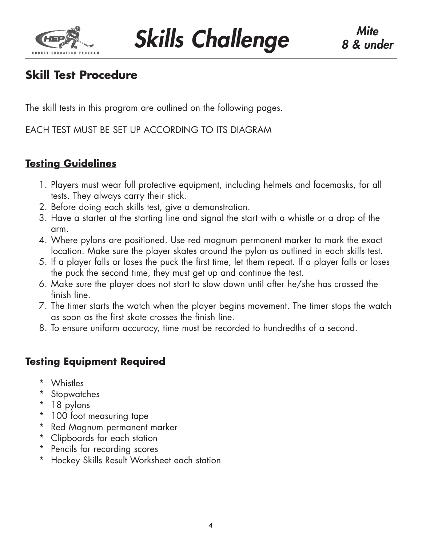

**Skills Challenge** 8 & une

# **Skill Test Procedure**

The skill tests in this program are outlined on the following pages.

EACH TEST MUST BE SET UP ACCORDING TO ITS DIAGRAM

## **Testing Guidelines**

- 1. Players must wear full protective equipment, including helmets and facemasks, for all tests. They always carry their stick.
- 2. Before doing each skills test, give a demonstration.
- 3. Have a starter at the starting line and signal the start with a whistle or a drop of the arm.
- 4. Where pylons are positioned. Use red magnum permanent marker to mark the exact location. Make sure the player skates around the pylon as outlined in each skills test.
- 5. If a player falls or loses the puck the first time, let them repeat. If a player falls or loses the puck the second time, they must get up and continue the test.
- 6. Make sure the player does not start to slow down until after he/she has crossed the finish line.
- 7. The timer starts the watch when the player begins movement. The timer stops the watch as soon as the first skate crosses the finish line.
- 8. To ensure uniform accuracy, time must be recorded to hundredths of a second.

# **Testing Equipment Required**

- \* Whistles
- \* Stopwatches
- \* 18 pylons
- \* 100 foot measuring tape
- \* Red Magnum permanent marker
- \* Clipboards for each station
- \* Pencils for recording scores
- \* Hockey Skills Result Worksheet each station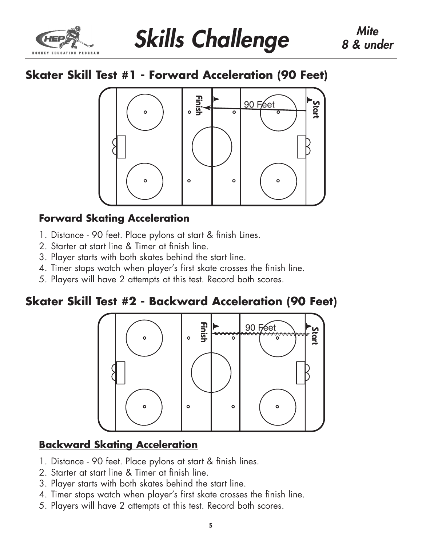

# **Skater Skill Test #1 - Forward Acceleration (90 Feet)**



# **Forward Skating Acceleration**

- 1. Distance 90 feet. Place pylons at start & finish Lines.
- 2. Starter at start line & Timer at finish line.
- 3. Player starts with both skates behind the start line.
- 4. Timer stops watch when player's first skate crosses the finish line.
- 5. Players will have 2 attempts at this test. Record both scores.

# **Skater Skill Test #2 - Backward Acceleration (90 Feet)**



## **Backward Skating Acceleration**

- 1. Distance 90 feet. Place pylons at start & finish lines.
- 2. Starter at start line & Timer at finish line.
- 3. Player starts with both skates behind the start line.
- 4. Timer stops watch when player's first skate crosses the finish line.
- 5. Players will have 2 attempts at this test. Record both scores.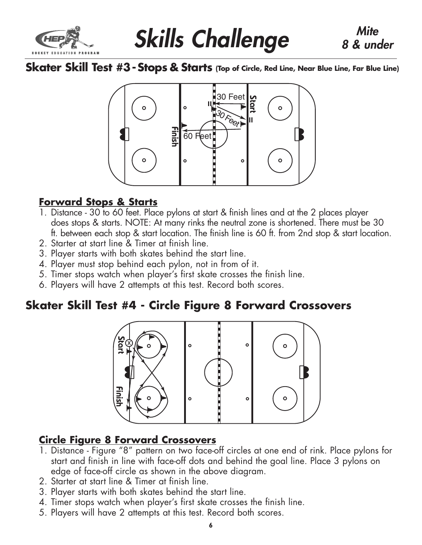

# **Skills Challenge** 8 & und

**Skater Skill Test #3 -Stops & Starts (Top of Circle, Red Line, Near Blue Line, Far Blue Line)**



## **Forward Stops & Starts**

- 1. Distance 30 to 60 feet. Place pylons at start & finish lines and at the 2 places player does stops & starts. NOTE: At many rinks the neutral zone is shortened. There must be 30 ft. between each stop & start location. The finish line is 60 ft. from 2nd stop & start location.
- 2. Starter at start line & Timer at finish line.
- 3. Player starts with both skates behind the start line.
- 4. Player must stop behind each pylon, not in from of it.
- 5. Timer stops watch when player's first skate crosses the finish line.
- 6. Players will have 2 attempts at this test. Record both scores.

# **Skater Skill Test #4 - Circle Figure 8 Forward Crossovers**



# **Circle Figure 8 Forward Crossovers**

- 1. Distance Figure "8" pattern on two face-off circles at one end of rink. Place pylons for start and finish in line with face-off dots and behind the goal line. Place 3 pylons on edge of face-off circle as shown in the above diagram.
- 2. Starter at start line & Timer at finish line.
- 3. Player starts with both skates behind the start line.
- 4. Timer stops watch when player's first skate crosses the finish line.
-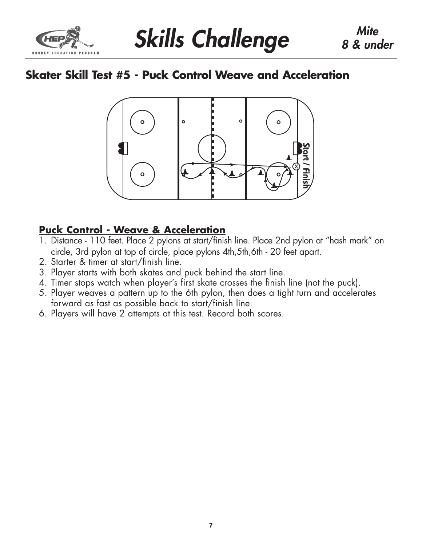

# **Skater Skill Test #5 - Puck Control Weave and Acceleration**



## **Puck Control - Weave & Acceleration**

- 1. Distance 110 feet. Place 2 pylons at start/finish line. Place 2nd pylon at "hash mark" on circle, 3rd pylon at top of circle, place pylons 4th,5th,6th - 20 feet apart.
- 2. Starter & timer at start/finish line.
- 3. Player starts with both skates and puck behind the start line.
- 4. Timer stops watch when player's first skate crosses the finish line (not the puck).
- 5. Player weaves a pattern up to the 6th pylon, then does a tight turn and accelerates forward as fast as possible back to start/finish line.
- 6. Players will have 2 attempts at this test. Record both scores.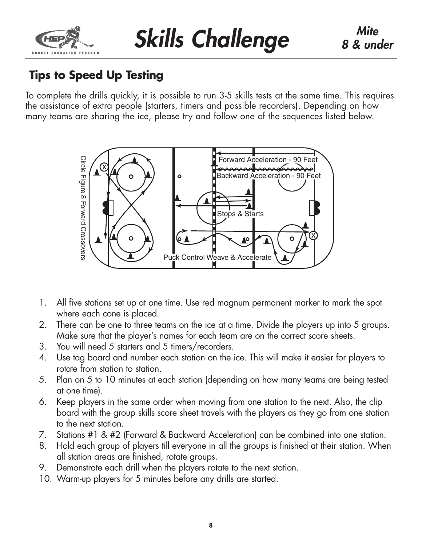

# **Tips to Speed Up Testing**

To complete the drills quickly, it is possible to run 3-5 skills tests at the same time. This requires the assistance of extra people (starters, timers and possible recorders). Depending on how many teams are sharing the ice, please try and follow one of the sequences listed below.



- 1. All five stations set up at one time. Use red magnum permanent marker to mark the spot where each cone is placed.
- 2. There can be one to three teams on the ice at a time. Divide the players up into 5 groups. Make sure that the player's names for each team are on the correct score sheets.
- 3. You will need 5 starters and 5 timers/recorders.
- 4. Use tag board and number each station on the ice. This will make it easier for players to rotate from station to station.
- 5. Plan on 5 to 10 minutes at each station (depending on how many teams are being tested at one time).
- 6. Keep players in the same order when moving from one station to the next. Also, the clip board with the group skills score sheet travels with the players as they go from one station to the next station.
- 7. Stations #1 & #2 (Forward & Backward Acceleration) can be combined into one station.
- 8. Hold each group of players till everyone in all the groups is finished at their station. When all station areas are finished, rotate groups.
- 9. Demonstrate each drill when the players rotate to the next station.
- 10. Warm-up players for 5 minutes before any drills are started.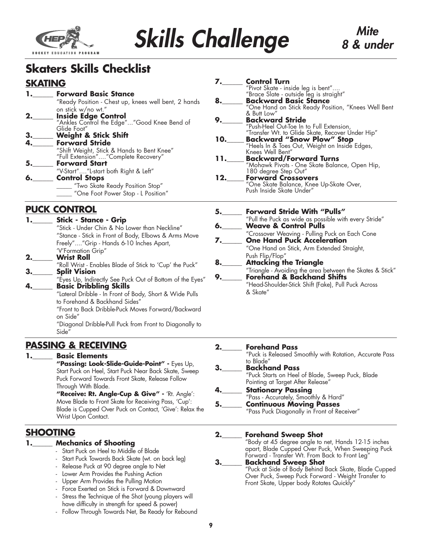

# **Skills Challenge** *B & une*

# *8 & under*

# **Skaters Skills Checklist**

## **SKATING**

- **1.\_\_\_\_\_\_ Forward Basic Stance** "Ready Position - Chest up, knees well bent, 2 hands on stick w/no wt."<br>**Inside Edge Control**
- **2.\_\_\_\_\_\_ Inside Edge Control** "Ankles Control the Edge"..."Good Knee Bend of Glide Foot"
- **3.\_\_\_\_\_\_ Weight & Stick Shift**
- **4.\_\_\_\_\_\_ Forward Stride**
	- "Shift Weight, Stick & Hands to Bent Knee" "Full Extension"...."Complete Recovery"
- **5.\_\_\_\_\_\_ Forward Start**
	- "V-Start"...."L-start both Right & Left"
- **6.\_\_\_\_\_\_ Control Stops**
	- "Two Skate Ready Position Stop" "One Foot Power Stop - L Position"

## **PUCK CONTROL**

**1.\_\_\_\_\_\_ Stick - Stance - Grip** "Stick - Under Chin & No Lower than Neckline" "Stance - Stick in Front of Body, Elbows & Arms Move Freely"...."Grip - Hands 6-10 Inches Apart, 'V'Formation Grip" **2.\_\_\_\_\_\_ Wrist Roll** "Roll Wrist - Enables Blade of Stick to 'Cup' the Puck" **3.\_\_\_\_\_\_ Split Vision** "Eyes Up, Indirectly See Puck Out of Bottom of the Eyes" **4.\_\_\_\_\_\_ Basic Dribbling Skills** "Lateral Dribble - In Front of Body, Short & Wide Pulls to Forehand & Backhand Sides" "Front to Back Dribble-Puck Moves Forward/Backward on Side" "Diagonal Dribble-Pull Puck from Front to Diagonally to Side"

## **PASSING & RECEIVING**

### **Basic Elements**

**"Passing: Look-Slide-Guide-Point" -** Eyes Up, Start Puck on Heel, Start Puck Near Back Skate, Sweep Puck Forward Towards Front Skate, Release Follow Through With Blade.

**"Receive: Rt. Angle-Cup & Give" -** 'Rt. Angle': Move Blade to Front Skate for Receiving Pass, 'Cup': Blade is Cupped Over Puck on Contact, 'Give': Relax the Wrist Upon Contact.

## **SHOOTING**

- **1.\_\_\_\_\_\_ Mechanics of Shooting**
	- Start Puck on Heel to Middle of Blade
	- Start Puck Towards Back Skate (wt. on back leg)
	- Release Puck at 90 degree angle to Net
	- Lower Arm Provides the Pushing Action
	- Upper Arm Provides the Pulling Motion
	- Force Exerted on Stick is Forward & Downward
	- Stress the Technique of the Shot (young players will have difficulty in strength for speed & power)
	- Follow Through Towards Net, Be Ready for Rebound

|     | <b>Control Turn</b><br>"Pivot Skate - inside leg is bent"<br>"Brace Slate - outside leg is straight" |
|-----|------------------------------------------------------------------------------------------------------|
| 8.  | <b>Backward Basic Stance</b>                                                                         |
|     | "One Hand on Stick Ready Position, "Knees Well Bent                                                  |
|     | & Butt Low"                                                                                          |
|     | <b>Backward Stride</b>                                                                               |
|     | "Push-Heel Out-Toe In to Full Extension,                                                             |
|     | "Transfer Wt. to Glide Skate, Recover Under Hip"                                                     |
| 10. | <b>Backward "Snow Plow" Stop</b><br>"Heels In & Toes Out, Weight on Inside Edges,                    |
|     |                                                                                                      |
|     | Knees Well Bent"                                                                                     |
| 11. | <b>Backward/Forward Turns</b>                                                                        |
|     | "Mohawk Pivots - One Skate Balance, Open Hip,                                                        |
|     | 180 degree Step Out"<br>Forward Crossovers                                                           |
| 12. |                                                                                                      |
|     | "One Skate Balance, Knee Up-Skate Over,<br>Push Inside Skate Under"                                  |
|     |                                                                                                      |

|    | <b>Forward Stride With "Pulls"</b>                                                      |
|----|-----------------------------------------------------------------------------------------|
|    | "Pull the Puck as wide as possible with every Stride"                                   |
| 6. | <b>Weave &amp; Control Pulls</b>                                                        |
|    | "Crossover Weaving - Pulling Puck on Each Cone<br><b>One Hand Puck Acceleration</b>     |
| 7. |                                                                                         |
|    | "One Hand on Stick, Arm Extended Straight,                                              |
|    | Push Flip/Flop"                                                                         |
| 8. | <b>Attacking the Triangle</b>                                                           |
|    | "Triangle - Avoiding the area between the Skates & Stick"<br>Forehand & Backhand Shifts |
|    |                                                                                         |
|    | "Head-Shoulder-Stick Shift (Fake), Pull Puck Across                                     |
|    | & Skate"                                                                                |
|    |                                                                                         |

| 2. | <b>Forehand Pass</b>                                                 |
|----|----------------------------------------------------------------------|
|    | "Puck is Released Smoothly with Rotation, Accurate Pass<br>to Blade" |
| З. | <b>Backhand Pass</b>                                                 |
|    | "Puck Starts on Heel of Blade, Sweep Puck, Blade                     |
|    | Pointing at Target After Release"                                    |
|    | <b>Stationary Passing</b><br>"Pass - Accurately, Smoothly & Hard"    |
|    |                                                                      |
|    | <b>Continuous Moving Passes</b>                                      |
|    | "Pass Puck Diagonally in Front of Receiver"                          |
|    |                                                                      |

**2.\_\_\_\_\_\_ Forehand Sweep Shot**

"Body at 45 degree angle to net, Hands 12-15 inches apart, Blade Cupped Over Puck, When Sweeping Puck Forward - Transfer Wt. From Back to Front Leg"

### **3.\_\_\_\_\_\_ Backhand Sweep Shot**

"Puck at Side of Body Behind Back Skate, Blade Cupped Over Puck, Sweep Puck Forward - Weight Transfer to Front Skate, Upper body Rotates Quickly"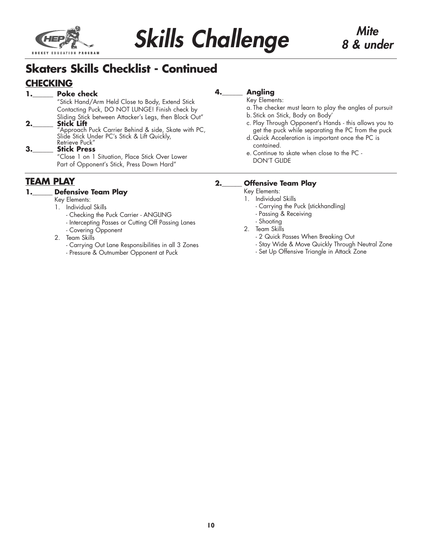

# **Skaters Skills Checklist - Continued**

## **CHECKING**

### **1.\_\_\_\_\_\_ Poke check**

"Stick Hand/Arm Held Close to Body, Extend Stick Contacting Puck, DO NOT LUNGE! Finish check by Sliding Stick between Attacker's Legs, then Block Out" **2.\_\_\_\_\_\_ Stick Lift**

#### "Approach Puck Carrier Behind & side, Skate with PC, Slide Stick Under PC's Stick & Lift Quickly, Retrieve Puck"

#### **3.\_\_\_\_\_\_ Stick Press**

"Close 1 on 1 Situation, Place Stick Over Lower Part of Opponent's Stick, Press Down Hard"

### **TEAM PLAY**

#### **1.\_\_\_\_\_\_ Defensive Team Play**

#### Key Elements:

- 1. Individual Skills
	- Checking the Puck Carrier ANGLING
	- Intercepting Passes or Cutting Off Passing Lanes
	- Covering Opponent
- 2. Team Skills
	- Carrying Out Lane Responsibilities in all 3 Zones
	- Pressure & Outnumber Opponent at Puck

### **4.\_\_\_\_\_\_ Angling**

#### Key Elements:

- a. The checker must learn to play the angles of pursuit
- b. Stick on Stick, Body on Body'
- c. Play Through Opponent's Hands this allows you to get the puck while separating the PC from the puck
- d. Quick Acceleration is important once the PC is contained.
- e. Continue to skate when close to the PC DON'T GLIDE

#### **2.\_\_\_\_\_\_ Offensive Team Play**

Key Elements:

- 1. Individual Skills
	- Carrying the Puck (stickhandling)
	- Passing & Receiving
	- Shooting
- 2. Team Skills
	- 2 Quick Passes When Breaking Out
	- Stay Wide & Move Quickly Through Neutral Zone
	- Set Up Offensive Triangle in Attack Zone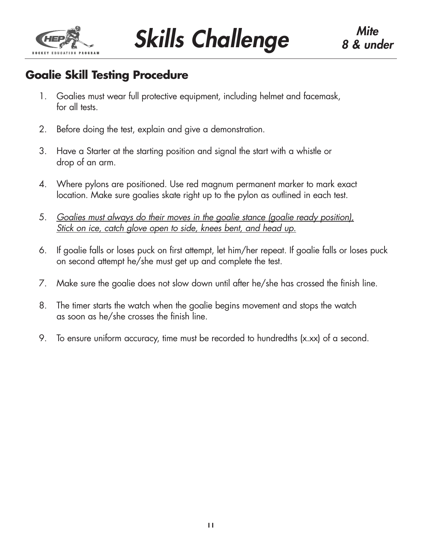

**Skills Challenge** 8 & une

# **Goalie Skill Testing Procedure**

- 1. Goalies must wear full protective equipment, including helmet and facemask, for all tests.
- 2. Before doing the test, explain and give a demonstration.
- 3. Have a Starter at the starting position and signal the start with a whistle or drop of an arm.
- 4. Where pylons are positioned. Use red magnum permanent marker to mark exact location. Make sure goalies skate right up to the pylon as outlined in each test.
- 5. *Goalies must always do their moves in the goalie stance (goalie ready position), Stick on ice, catch glove open to side, knees bent, and head up.*
- 6. If goalie falls or loses puck on first attempt, let him/her repeat. If goalie falls or loses puck on second attempt he/she must get up and complete the test.
- 7. Make sure the goalie does not slow down until after he/she has crossed the finish line.
- 8. The timer starts the watch when the goalie begins movement and stops the watch as soon as he/she crosses the finish line.
- 9. To ensure uniform accuracy, time must be recorded to hundredths (x.xx) of a second.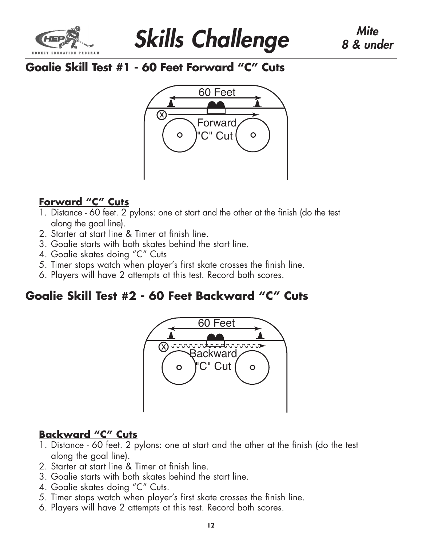



# **Goalie Skill Test #1 - 60 Feet Forward "C" Cuts**



# **Forward "C" Cuts**

- 1. Distance 60 feet. 2 pylons: one at start and the other at the finish (do the test along the goal line).
- 2. Starter at start line & Timer at finish line.
- 3. Goalie starts with both skates behind the start line.
- 4. Goalie skates doing "C" Cuts
- 5. Timer stops watch when player's first skate crosses the finish line.
- 6. Players will have 2 attempts at this test. Record both scores.

# **Goalie Skill Test #2 - 60 Feet Backward "C" Cuts**



## **Backward "C" Cuts**

- 1. Distance 60 feet. 2 pylons: one at start and the other at the finish (do the test along the goal line).
- 2. Starter at start line & Timer at finish line.
- 3. Goalie starts with both skates behind the start line.
- 4. Goalie skates doing "C" Cuts.
- 5. Timer stops watch when player's first skate crosses the finish line.
- 6. Players will have 2 attempts at this test. Record both scores.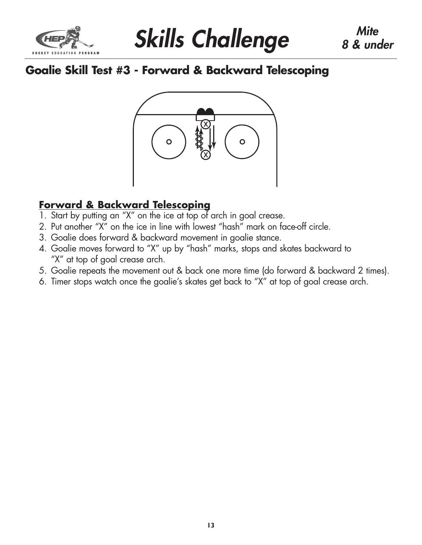



# **Goalie Skill Test #3 - Forward & Backward Telescoping**



## **Forward & Backward Telescoping**

- 1. Start by putting an "X" on the ice at top of arch in goal crease.
- 2. Put another "X" on the ice in line with lowest "hash" mark on face-off circle.
- 3. Goalie does forward & backward movement in goalie stance.
- 4. Goalie moves forward to "X" up by "hash" marks, stops and skates backward to "X" at top of goal crease arch.
- 5. Goalie repeats the movement out & back one more time (do forward & backward 2 times).
- 6. Timer stops watch once the goalie's skates get back to "X" at top of goal crease arch.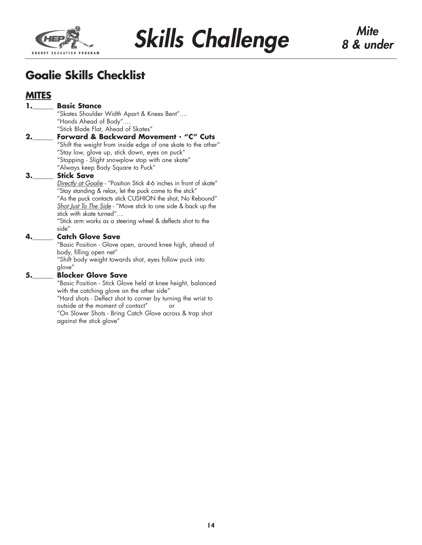



# **Goalie Skills Checklist**

## **MITES**

#### **1.\_\_\_\_\_\_ Basic Stance**

"Skates Shoulder Width Apart & Knees Bent".... "Hands Ahead of Body".... "Stick Blade Flat, Ahead of Skates"

**2.\_\_\_\_\_\_ Forward & Backward Movement - "C" Cuts** "Shift the weight from inside edge of one skate to the other" "Stay low, glove up, stick down, eyes on puck" "Stopping - Slight snowplow stop with one skate" "Always keep Body Square to Puck"

#### **3.\_\_\_\_\_\_ Stick Save**

*Directly at Goalie* - "Position Stick 4-6 inches in front of skate" "Stay standing & relax, let the puck come to the stick" "As the puck contacts stick CUSHION the shot, No Rebound" *Shot Just To The Side* - "Move stick to one side & back up the stick with skate turned"....

"Stick arm works as a steering wheel & deflects shot to the side"

#### **4.\_\_\_\_\_\_ Catch Glove Save**

"Basic Position - Glove open, around knee high, ahead of body, filling open net"

"Shift body weight towards shot, eyes follow puck into glove"

#### **5.\_\_\_\_\_\_ Blocker Glove Save**

"Basic Position - Stick Glove held at knee height, balanced with the catching glove on the other side"

"Hard shots - Deflect shot to corner by turning the wrist to outside at the moment of contact" or

"On Slower Shots - Bring Catch Glove across & trap shot against the stick glove"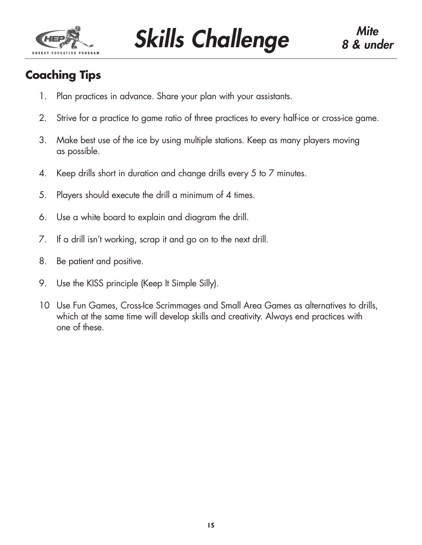

**Skills Challenge** 8 & und

# **Coaching Tips**

- 1. Plan practices in advance. Share your plan with your assistants.
- 2. Strive for a practice to game ratio of three practices to every half-ice or cross-ice game.
- 3. Make best use of the ice by using multiple stations. Keep as many players moving as possible.
- 4. Keep drills short in duration and change drills every 5 to 7 minutes.
- 5. Players should execute the drill a minimum of 4 times.
- 6. Use a white board to explain and diagram the drill.
- 7. If a drill isn't working, scrap it and go on to the next drill.
- 8. Be patient and positive.
- 9. Use the KISS principle (Keep It Simple Silly).
- 10 Use Fun Games, Cross-Ice Scrimmages and Small Area Games as alternatives to drills, which at the same time will develop skills and creativity. Always end practices with one of these.